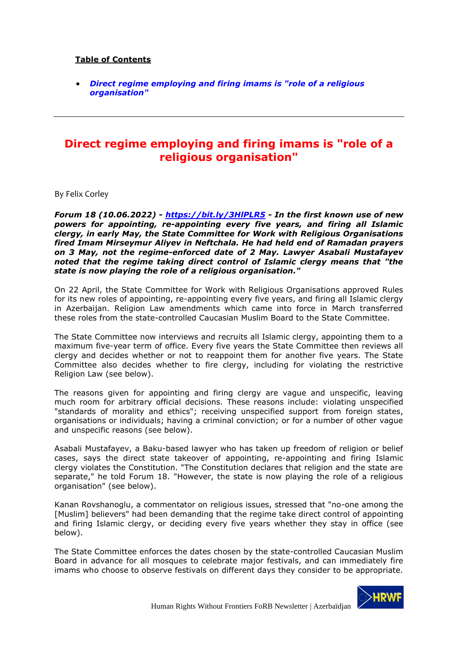## **Table of Contents**

• *Direct regime employing and firing imams is "role of a religious organisation"*

## **Direct regime employing and firing imams is "role of a religious organisation"**

By Felix Corley

*Forum 18 (10.06.2022) - https://bit.ly/3HlPLR5 - In the first known use of new powers for appointing, re-appointing every five years, and firing all Islamic clergy, in early May, the State Committee for Work with Religious Organisations fired Imam Mirseymur Aliyev in Neftchala. He had held end of Ramadan prayers on 3 May, not the regime-enforced date of 2 May. Lawyer Asabali Mustafayev noted that the regime taking direct control of Islamic clergy means that "the state is now playing the role of a religious organisation."*

On 22 April, the State Committee for Work with Religious Organisations approved Rules for its new roles of appointing, re-appointing every five years, and firing all Islamic clergy in Azerbaijan. Religion Law amendments which came into force in March transferred these roles from the state-controlled Caucasian Muslim Board to the State Committee.

The State Committee now interviews and recruits all Islamic clergy, appointing them to a maximum five-year term of office. Every five years the State Committee then reviews all clergy and decides whether or not to reappoint them for another five years. The State Committee also decides whether to fire clergy, including for violating the restrictive Religion Law (see below).

The reasons given for appointing and firing clergy are vague and unspecific, leaving much room for arbitrary official decisions. These reasons include: violating unspecified "standards of morality and ethics"; receiving unspecified support from foreign states, organisations or individuals; having a criminal conviction; or for a number of other vague and unspecific reasons (see below).

Asabali Mustafayev, a Baku-based lawyer who has taken up freedom of religion or belief cases, says the direct state takeover of appointing, re-appointing and firing Islamic clergy violates the Constitution. "The Constitution declares that religion and the state are separate," he told Forum 18. "However, the state is now playing the role of a religious organisation" (see below).

Kanan Rovshanoglu, a commentator on religious issues, stressed that "no-one among the [Muslim] believers" had been demanding that the regime take direct control of appointing and firing Islamic clergy, or deciding every five years whether they stay in office (see below).

The State Committee enforces the dates chosen by the state-controlled Caucasian Muslim Board in advance for all mosques to celebrate major festivals, and can immediately fire imams who choose to observe festivals on different days they consider to be appropriate.